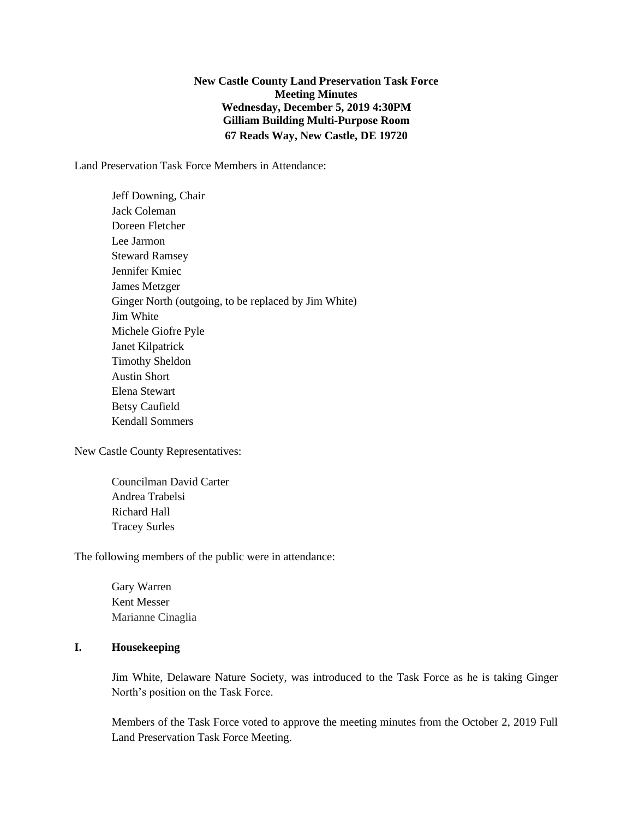**New Castle County Land Preservation Task Force Meeting Minutes Wednesday, December 5, 2019 4:30PM Gilliam Building Multi-Purpose Room 67 Reads Way, New Castle, DE 19720**

Land Preservation Task Force Members in Attendance:

Jeff Downing, Chair Jack Coleman Doreen Fletcher Lee Jarmon Steward Ramsey Jennifer Kmiec James Metzger Ginger North (outgoing, to be replaced by Jim White) Jim White Michele Giofre Pyle Janet Kilpatrick Timothy Sheldon Austin Short Elena Stewart Betsy Caufield Kendall Sommers

New Castle County Representatives:

Councilman David Carter Andrea Trabelsi Richard Hall Tracey Surles

The following members of the public were in attendance:

Gary Warren Kent Messer Marianne Cinaglia

#### **I. Housekeeping**

Jim White, Delaware Nature Society, was introduced to the Task Force as he is taking Ginger North's position on the Task Force.

Members of the Task Force voted to approve the meeting minutes from the October 2, 2019 Full Land Preservation Task Force Meeting.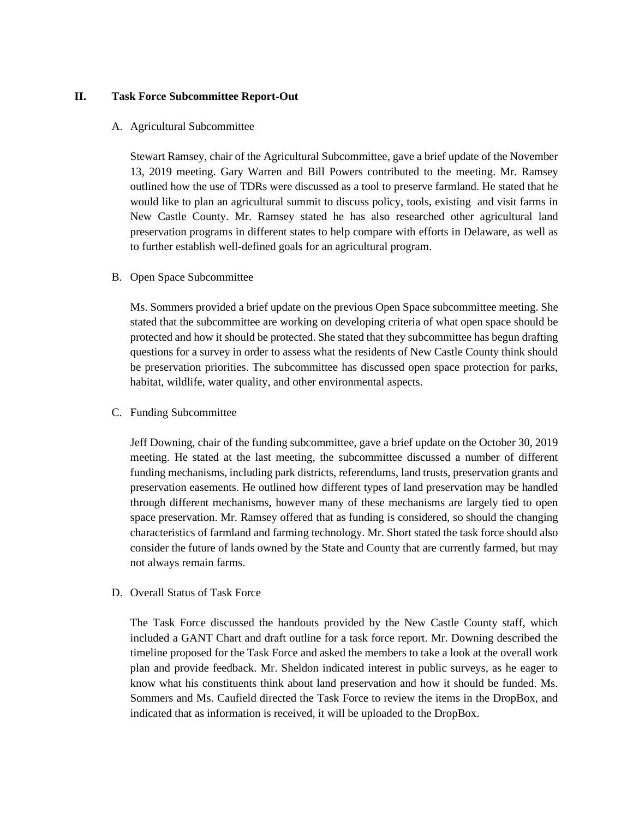## **II. Task Force Subcommittee Report-Out**

#### A. Agricultural Subcommittee

Stewart Ramsey, chair of the Agricultural Subcommittee, gave a brief update of the November 13, 2019 meeting. Gary Warren and Bill Powers contributed to the meeting. Mr. Ramsey outlined how the use of TDRs were discussed as a tool to preserve farmland. He stated that he would like to plan an agricultural summit to discuss policy, tools, existing and visit farms in New Castle County. Mr. Ramsey stated he has also researched other agricultural land preservation programs in different states to help compare with efforts in Delaware, as well as to further establish well-defined goals for an agricultural program.

#### B. Open Space Subcommittee

Ms. Sommers provided a brief update on the previous Open Space subcommittee meeting. She stated that the subcommittee are working on developing criteria of what open space should be protected and how it should be protected. She stated that they subcommittee has begun drafting questions for a survey in order to assess what the residents of New Castle County think should be preservation priorities. The subcommittee has discussed open space protection for parks, habitat, wildlife, water quality, and other environmental aspects.

#### C. Funding Subcommittee

Jeff Downing, chair of the funding subcommittee, gave a brief update on the October 30, 2019 meeting. He stated at the last meeting, the subcommittee discussed a number of different funding mechanisms, including park districts, referendums, land trusts, preservation grants and preservation easements. He outlined how different types of land preservation may be handled through different mechanisms, however many of these mechanisms are largely tied to open space preservation. Mr. Ramsey offered that as funding is considered, so should the changing characteristics of farmland and farming technology. Mr. Short stated the task force should also consider the future of lands owned by the State and County that are currently farmed, but may not always remain farms.

### D. Overall Status of Task Force

The Task Force discussed the handouts provided by the New Castle County staff, which included a GANT Chart and draft outline for a task force report. Mr. Downing described the timeline proposed for the Task Force and asked the members to take a look at the overall work plan and provide feedback. Mr. Sheldon indicated interest in public surveys, as he eager to know what his constituents think about land preservation and how it should be funded. Ms. Sommers and Ms. Caufield directed the Task Force to review the items in the DropBox, and indicated that as information is received, it will be uploaded to the DropBox.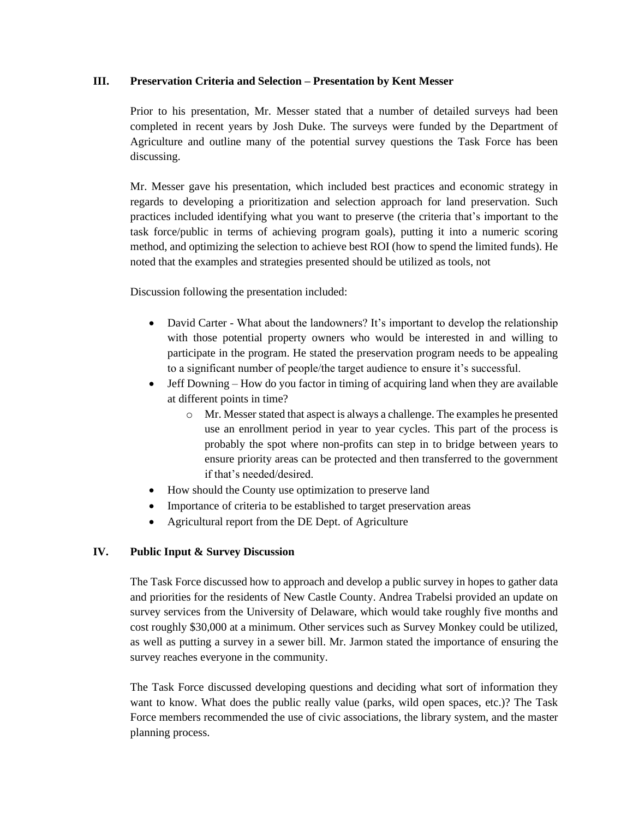## **III. Preservation Criteria and Selection – Presentation by Kent Messer**

Prior to his presentation, Mr. Messer stated that a number of detailed surveys had been completed in recent years by Josh Duke. The surveys were funded by the Department of Agriculture and outline many of the potential survey questions the Task Force has been discussing.

Mr. Messer gave his presentation, which included best practices and economic strategy in regards to developing a prioritization and selection approach for land preservation. Such practices included identifying what you want to preserve (the criteria that's important to the task force/public in terms of achieving program goals), putting it into a numeric scoring method, and optimizing the selection to achieve best ROI (how to spend the limited funds). He noted that the examples and strategies presented should be utilized as tools, not

Discussion following the presentation included:

- David Carter What about the landowners? It's important to develop the relationship with those potential property owners who would be interested in and willing to participate in the program. He stated the preservation program needs to be appealing to a significant number of people/the target audience to ensure it's successful.
- Jeff Downing How do you factor in timing of acquiring land when they are available at different points in time?
	- o Mr. Messer stated that aspect is always a challenge. The examples he presented use an enrollment period in year to year cycles. This part of the process is probably the spot where non-profits can step in to bridge between years to ensure priority areas can be protected and then transferred to the government if that's needed/desired.
- How should the County use optimization to preserve land
- Importance of criteria to be established to target preservation areas
- Agricultural report from the DE Dept. of Agriculture

# **IV. Public Input & Survey Discussion**

The Task Force discussed how to approach and develop a public survey in hopes to gather data and priorities for the residents of New Castle County. Andrea Trabelsi provided an update on survey services from the University of Delaware, which would take roughly five months and cost roughly \$30,000 at a minimum. Other services such as Survey Monkey could be utilized, as well as putting a survey in a sewer bill. Mr. Jarmon stated the importance of ensuring the survey reaches everyone in the community.

The Task Force discussed developing questions and deciding what sort of information they want to know. What does the public really value (parks, wild open spaces, etc.)? The Task Force members recommended the use of civic associations, the library system, and the master planning process.